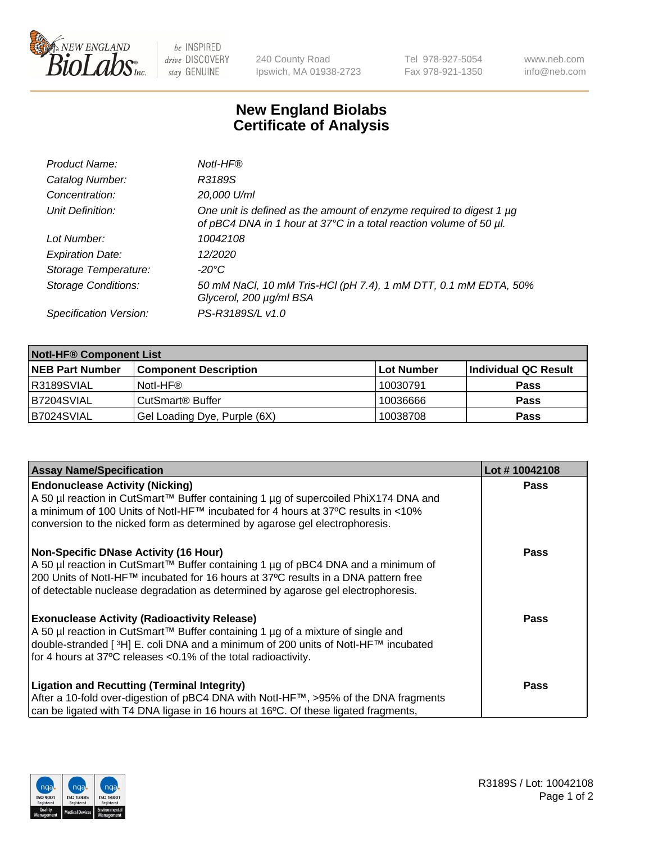

be INSPIRED drive DISCOVERY stay GENUINE

240 County Road Ipswich, MA 01938-2723 Tel 978-927-5054 Fax 978-921-1350 www.neb.com info@neb.com

## **New England Biolabs Certificate of Analysis**

| Product Name:              | Notl-HF®                                                                                                                                  |
|----------------------------|-------------------------------------------------------------------------------------------------------------------------------------------|
| Catalog Number:            | R3189S                                                                                                                                    |
| Concentration:             | 20,000 U/ml                                                                                                                               |
| Unit Definition:           | One unit is defined as the amount of enzyme required to digest 1 µg<br>of pBC4 DNA in 1 hour at 37°C in a total reaction volume of 50 µl. |
| Lot Number:                | 10042108                                                                                                                                  |
| <b>Expiration Date:</b>    | 12/2020                                                                                                                                   |
| Storage Temperature:       | -20°C                                                                                                                                     |
| <b>Storage Conditions:</b> | 50 mM NaCl, 10 mM Tris-HCl (pH 7.4), 1 mM DTT, 0.1 mM EDTA, 50%<br>Glycerol, 200 µg/ml BSA                                                |
| Specification Version:     | PS-R3189S/L v1.0                                                                                                                          |

| <b>Notl-HF® Component List</b> |                              |            |                      |  |  |
|--------------------------------|------------------------------|------------|----------------------|--|--|
| <b>NEB Part Number</b>         | <b>Component Description</b> | Lot Number | Individual QC Result |  |  |
| R3189SVIAL                     | Notl-HF®                     | 10030791   | <b>Pass</b>          |  |  |
| B7204SVIAL                     | CutSmart <sup>®</sup> Buffer | 10036666   | <b>Pass</b>          |  |  |
| B7024SVIAL                     | Gel Loading Dye, Purple (6X) | 10038708   | <b>Pass</b>          |  |  |

| <b>Assay Name/Specification</b>                                                                | Lot #10042108 |
|------------------------------------------------------------------------------------------------|---------------|
| <b>Endonuclease Activity (Nicking)</b>                                                         | <b>Pass</b>   |
| A 50 µl reaction in CutSmart™ Buffer containing 1 µg of supercoiled PhiX174 DNA and            |               |
| a minimum of 100 Units of Notl-HF™ incubated for 4 hours at 37°C results in <10%               |               |
| conversion to the nicked form as determined by agarose gel electrophoresis.                    |               |
| <b>Non-Specific DNase Activity (16 Hour)</b>                                                   | <b>Pass</b>   |
| A 50 µl reaction in CutSmart™ Buffer containing 1 µg of pBC4 DNA and a minimum of              |               |
| 200 Units of Notl-HF™ incubated for 16 hours at 37°C results in a DNA pattern free             |               |
| of detectable nuclease degradation as determined by agarose gel electrophoresis.               |               |
| <b>Exonuclease Activity (Radioactivity Release)</b>                                            | Pass          |
| A 50 µl reaction in CutSmart™ Buffer containing 1 µg of a mixture of single and                |               |
| double-stranded [ <sup>3</sup> H] E. coli DNA and a minimum of 200 units of Notl-HF™ incubated |               |
| for 4 hours at 37°C releases <0.1% of the total radioactivity.                                 |               |
| <b>Ligation and Recutting (Terminal Integrity)</b>                                             | <b>Pass</b>   |
| After a 10-fold over-digestion of pBC4 DNA with Notl-HF™, >95% of the DNA fragments            |               |
| can be ligated with T4 DNA ligase in 16 hours at 16°C. Of these ligated fragments,             |               |